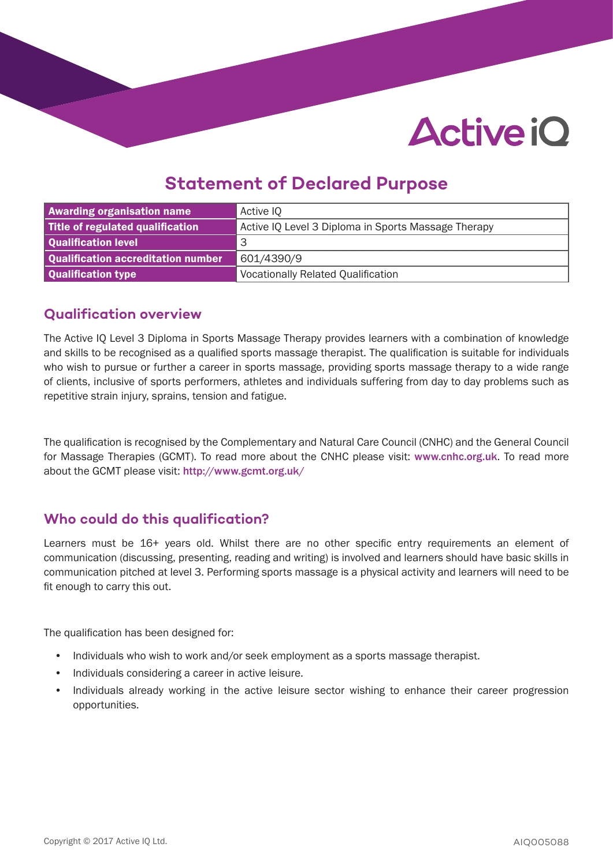# **Active iO**

### **Statement of Declared Purpose**

| <b>Awarding organisation name</b>  | Active IQ                                           |
|------------------------------------|-----------------------------------------------------|
| Title of regulated qualification   | Active IQ Level 3 Diploma in Sports Massage Therapy |
| Qualification level                | 3                                                   |
| Qualification accreditation number | 601/4390/9                                          |
| Qualification type                 | <b>Vocationally Related Qualification</b>           |

#### **Qualification overview**

The Active IQ Level 3 Diploma in Sports Massage Therapy provides learners with a combination of knowledge and skills to be recognised as a qualified sports massage therapist. The qualification is suitable for individuals who wish to pursue or further a career in sports massage, providing sports massage therapy to a wide range of clients, inclusive of sports performers, athletes and individuals suffering from day to day problems such as repetitive strain injury, sprains, tension and fatigue.

The qualification is recognised by the Complementary and Natural Care Council (CNHC) and the General Council for Massage Therapies (GCMT). To read more about the CNHC please visit: www.cnhc.org.uk. To read more about the GCMT please visit: http://www.gcmt.org.uk/

#### **Who could do this qualification?**

Learners must be 16+ years old. Whilst there are no other specific entry requirements an element of communication (discussing, presenting, reading and writing) is involved and learners should have basic skills in communication pitched at level 3. Performing sports massage is a physical activity and learners will need to be fit enough to carry this out.

The qualification has been designed for:

- Individuals who wish to work and/or seek employment as a sports massage therapist.
- Individuals considering a career in active leisure.
- Individuals already working in the active leisure sector wishing to enhance their career progression opportunities.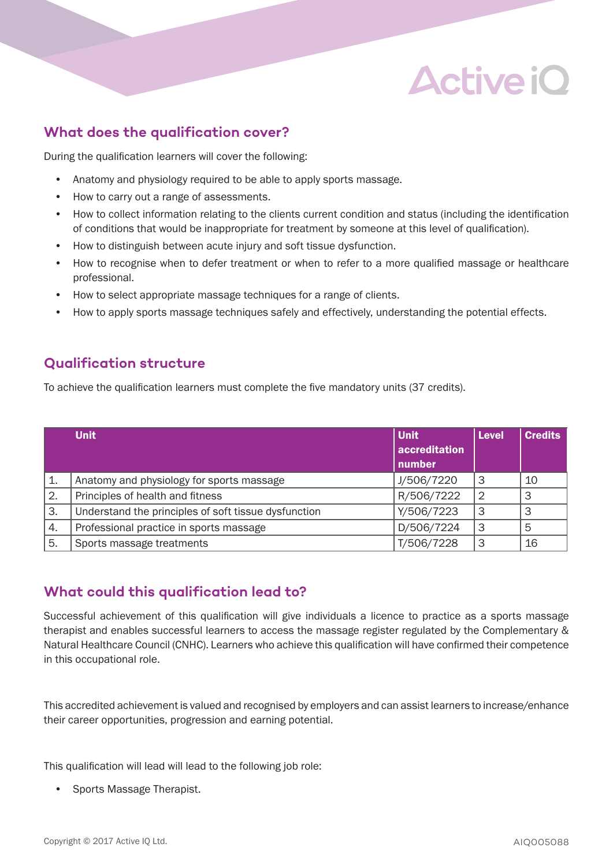## **Active iO**

#### **What does the qualification cover?**

During the qualification learners will cover the following:

- Anatomy and physiology required to be able to apply sports massage.
- How to carry out a range of assessments.
- How to collect information relating to the clients current condition and status (including the identification of conditions that would be inappropriate for treatment by someone at this level of qualification).
- How to distinguish between acute injury and soft tissue dysfunction.
- How to recognise when to defer treatment or when to refer to a more qualified massage or healthcare professional.
- How to select appropriate massage techniques for a range of clients.
- How to apply sports massage techniques safely and effectively, understanding the potential effects.

#### **Qualification structure**

To achieve the qualification learners must complete the five mandatory units (37 credits).

|    | <b>Unit</b>                                          | <b>Unit</b>   | <b>Level</b>  | <b>Credits</b> |
|----|------------------------------------------------------|---------------|---------------|----------------|
|    |                                                      | accreditation |               |                |
|    |                                                      | number        |               |                |
| 1. | Anatomy and physiology for sports massage            | J/506/7220    | 3             | 10             |
| 2. | Principles of health and fitness                     | R/506/7222    | $\mathcal{P}$ | 3              |
| 3. | Understand the principles of soft tissue dysfunction | Y/506/7223    | 3             | 3              |
| 4. | Professional practice in sports massage              | D/506/7224    | 3             | 5              |
| 5. | Sports massage treatments                            | T/506/7228    | 3             | 16             |

#### **What could this qualification lead to?**

Successful achievement of this qualification will give individuals a licence to practice as a sports massage therapist and enables successful learners to access the massage register regulated by the Complementary & Natural Healthcare Council (CNHC). Learners who achieve this qualification will have confirmed their competence in this occupational role.

This accredited achievement is valued and recognised by employers and can assist learners to increase/enhance their career opportunities, progression and earning potential.

This qualification will lead will lead to the following job role:

• Sports Massage Therapist.